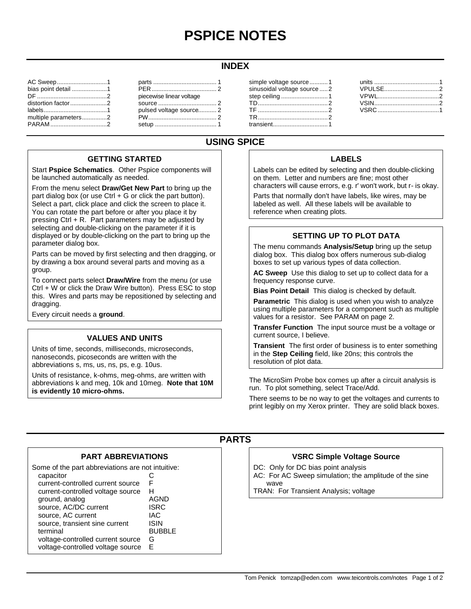# **PSPICE NOTES**

#### **INDEX**

| AC Sweep1            |  |
|----------------------|--|
| bias point detail 1  |  |
|                      |  |
|                      |  |
|                      |  |
| multiple parameters2 |  |
|                      |  |
|                      |  |

#### parts ...................................... 1 PER....................................... 2 piecewise linear voltage source ................................... 2 pulsed voltage source........... 2 PW......................................... 2 setup ..................................... 1

| simple voltage source1     |  |
|----------------------------|--|
| sinusoidal voltage source2 |  |
|                            |  |
|                            |  |
|                            |  |
|                            |  |
|                            |  |
|                            |  |

| VPULSE2 |  |
|---------|--|
|         |  |
|         |  |
|         |  |
|         |  |

## **USING SPICE**

#### **GETTING STARTED**

Start **Pspice Schematics**. Other Pspice components will be launched automatically as needed.

From the menu select **Draw/Get New Part** to bring up the part dialog box (or use  $Ctrl + G$  or click the part button). Select a part, click place and click the screen to place it. You can rotate the part before or after you place it by pressing Ctrl + R. Part parameters may be adjusted by selecting and double-clicking on the parameter if it is displayed or by double-clicking on the part to bring up the parameter dialog box.

Parts can be moved by first selecting and then dragging, or by drawing a box around several parts and moving as a group.

To connect parts select **Draw/Wire** from the menu (or use Ctrl + W or click the Draw Wire button). Press ESC to stop this. Wires and parts may be repositioned by selecting and dragging.

Every circuit needs a **ground**.

#### **VALUES AND UNITS**

Units of time, seconds, milliseconds, microseconds, nanoseconds, picoseconds are written with the abbreviations s, ms, us, ns, ps, e.g. 10us.

Units of resistance, k-ohms, meg-ohms, are written with abbreviations k and meg, 10k and 10meg. **Note that 10M is evidently 10 micro-ohms.**

### **LABELS**

Labels can be edited by selecting and then double-clicking on them. Letter and numbers are fine; most other characters will cause errors, e.g. r' won't work, but r- is okay.

Parts that normally don't have labels, like wires, may be labeled as well. All these labels will be available to reference when creating plots.

#### **SETTING UP TO PLOT DATA**

The menu commands **Analysis/Setup** bring up the setup dialog box. This dialog box offers numerous sub-dialog boxes to set up various types of data collection.

**AC Sweep** Use this dialog to set up to collect data for a frequency response curve.

**Bias Point Detail** This dialog is checked by default.

**Parametric** This dialog is used when you wish to analyze using multiple parameters for a component such as multiple values for a resistor. See PARAM on page 2.

**Transfer Function** The input source must be a voltage or current source, I believe.

**Transient** The first order of business is to enter something in the **Step Ceiling** field, like 20ns; this controls the resolution of plot data.

The MicroSim Probe box comes up after a circuit analysis is run. To plot something, select Trace/Add.

There seems to be no way to get the voltages and currents to print legibly on my Xerox printer. They are solid black boxes.

**PARTS**

## **PART ABBREVIATIONS**

Some of the part abbreviations are not intuitive: capacitor

| capacitor                         |               |
|-----------------------------------|---------------|
| current-controlled current source | F             |
| current-controlled voltage source | н             |
| ground, analog                    | <b>AGND</b>   |
| source, AC/DC current             | <b>ISRC</b>   |
| source, AC current                | <b>IAC</b>    |
| source, transient sine current    | <b>ISIN</b>   |
| terminal                          | <b>BUBBLE</b> |
| voltage-controlled current source | G             |
| voltage-controlled voltage source | F             |
|                                   |               |

#### **VSRC Simple Voltage Source**

DC: Only for DC bias point analysis

AC: For AC Sweep simulation; the amplitude of the sine wave

TRAN: For Transient Analysis; voltage